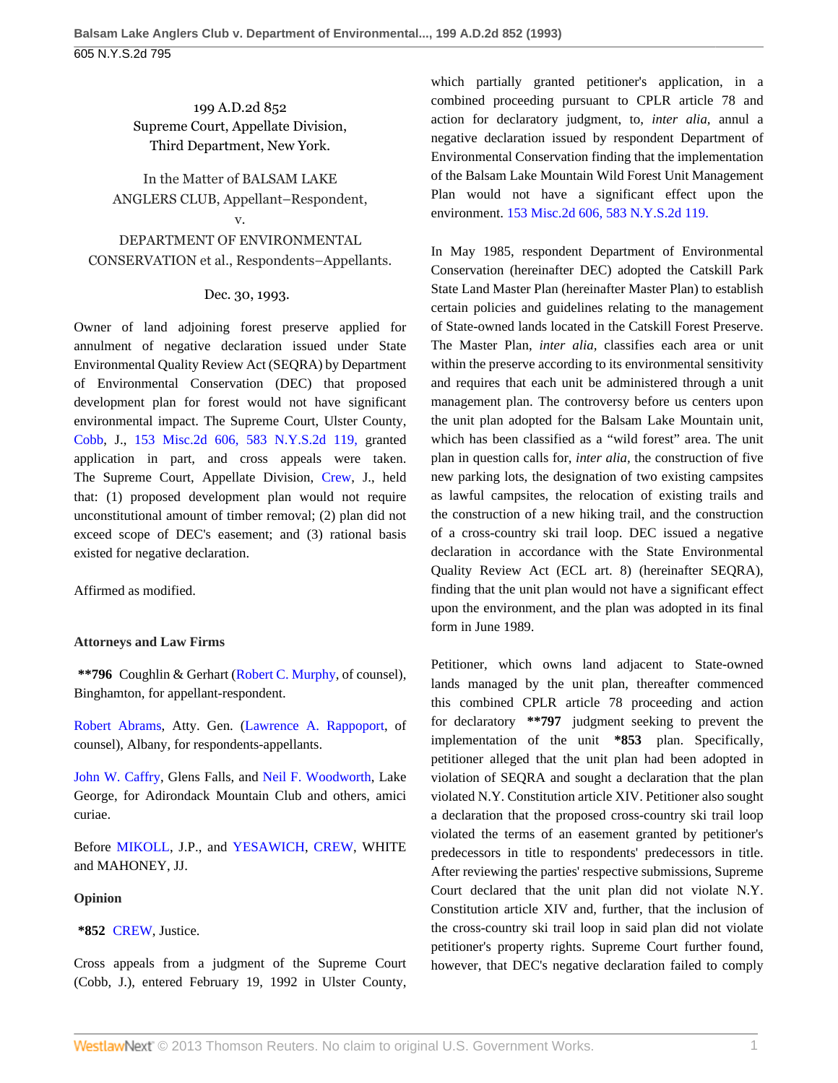## 199 A.D.2d 852 Supreme Court, Appellate Division, Third Department, New York.

In the Matter of BALSAM LAKE ANGLERS CLUB, Appellant–Respondent, v.

DEPARTMENT OF ENVIRONMENTAL CONSERVATION et al., Respondents–Appellants.

## Dec. 30, 1993.

Owner of land adjoining forest preserve applied for annulment of negative declaration issued under State Environmental Quality Review Act (SEQRA) by Department of Environmental Conservation (DEC) that proposed development plan for forest would not have significant environmental impact. The Supreme Court, Ulster County, [Cobb,](http://www.westlaw.com/Link/Document/FullText?findType=h&pubNum=176284&cite=0275572601&originatingDoc=Ic238b2b4da1e11d9bf60c1d57ebc853e&refType=RQ&originationContext=document&vr=3.0&rs=cblt1.0&transitionType=DocumentItem&contextData=(sc.Search)) J., [153 Misc.2d 606, 583 N.Y.S.2d 119,](http://www.westlaw.com/Link/Document/FullText?findType=Y&serNum=1992070753&pubNum=602&originationContext=document&vr=3.0&rs=cblt1.0&transitionType=DocumentItem&contextData=(sc.Search)) granted application in part, and cross appeals were taken. The Supreme Court, Appellate Division, [Crew,](http://www.westlaw.com/Link/Document/FullText?findType=h&pubNum=176284&cite=0239727601&originatingDoc=Ic238b2b4da1e11d9bf60c1d57ebc853e&refType=RQ&originationContext=document&vr=3.0&rs=cblt1.0&transitionType=DocumentItem&contextData=(sc.Search)) J., held that: (1) proposed development plan would not require unconstitutional amount of timber removal; (2) plan did not exceed scope of DEC's easement; and (3) rational basis existed for negative declaration.

Affirmed as modified.

## **Attorneys and Law Firms**

**\*\*796** Coughlin & Gerhart ([Robert C. Murphy](http://www.westlaw.com/Link/Document/FullText?findType=h&pubNum=176284&cite=0125002301&originatingDoc=Ic238b2b4da1e11d9bf60c1d57ebc853e&refType=RQ&originationContext=document&vr=3.0&rs=cblt1.0&transitionType=DocumentItem&contextData=(sc.Search)), of counsel), Binghamton, for appellant-respondent.

[Robert Abrams](http://www.westlaw.com/Link/Document/FullText?findType=h&pubNum=176284&cite=0118010101&originatingDoc=Ic238b2b4da1e11d9bf60c1d57ebc853e&refType=RQ&originationContext=document&vr=3.0&rs=cblt1.0&transitionType=DocumentItem&contextData=(sc.Search)), Atty. Gen. [\(Lawrence A. Rappoport,](http://www.westlaw.com/Link/Document/FullText?findType=h&pubNum=176284&cite=0203907001&originatingDoc=Ic238b2b4da1e11d9bf60c1d57ebc853e&refType=RQ&originationContext=document&vr=3.0&rs=cblt1.0&transitionType=DocumentItem&contextData=(sc.Search)) of counsel), Albany, for respondents-appellants.

[John W. Caffry](http://www.westlaw.com/Link/Document/FullText?findType=h&pubNum=176284&cite=0275826001&originatingDoc=Ic238b2b4da1e11d9bf60c1d57ebc853e&refType=RQ&originationContext=document&vr=3.0&rs=cblt1.0&transitionType=DocumentItem&contextData=(sc.Search)), Glens Falls, and [Neil F. Woodworth](http://www.westlaw.com/Link/Document/FullText?findType=h&pubNum=176284&cite=0107967201&originatingDoc=Ic238b2b4da1e11d9bf60c1d57ebc853e&refType=RQ&originationContext=document&vr=3.0&rs=cblt1.0&transitionType=DocumentItem&contextData=(sc.Search)), Lake George, for Adirondack Mountain Club and others, amici curiae.

Before [MIKOLL](http://www.westlaw.com/Link/Document/FullText?findType=h&pubNum=176284&cite=0252852701&originatingDoc=Ic238b2b4da1e11d9bf60c1d57ebc853e&refType=RQ&originationContext=document&vr=3.0&rs=cblt1.0&transitionType=DocumentItem&contextData=(sc.Search)), J.P., and [YESAWICH,](http://www.westlaw.com/Link/Document/FullText?findType=h&pubNum=176284&cite=0252753701&originatingDoc=Ic238b2b4da1e11d9bf60c1d57ebc853e&refType=RQ&originationContext=document&vr=3.0&rs=cblt1.0&transitionType=DocumentItem&contextData=(sc.Search)) [CREW](http://www.westlaw.com/Link/Document/FullText?findType=h&pubNum=176284&cite=0239727601&originatingDoc=Ic238b2b4da1e11d9bf60c1d57ebc853e&refType=RQ&originationContext=document&vr=3.0&rs=cblt1.0&transitionType=DocumentItem&contextData=(sc.Search)), WHITE and MAHONEY, JJ.

## **Opinion**

**\*852** [CREW](http://www.westlaw.com/Link/Document/FullText?findType=h&pubNum=176284&cite=0239727601&originatingDoc=Ic238b2b4da1e11d9bf60c1d57ebc853e&refType=RQ&originationContext=document&vr=3.0&rs=cblt1.0&transitionType=DocumentItem&contextData=(sc.Search)), Justice.

Cross appeals from a judgment of the Supreme Court (Cobb, J.), entered February 19, 1992 in Ulster County, which partially granted petitioner's application, in a combined proceeding pursuant to CPLR article 78 and action for declaratory judgment, to, *inter alia,* annul a negative declaration issued by respondent Department of Environmental Conservation finding that the implementation of the Balsam Lake Mountain Wild Forest Unit Management Plan would not have a significant effect upon the environment. [153 Misc.2d 606, 583 N.Y.S.2d 119.](http://www.westlaw.com/Link/Document/FullText?findType=Y&serNum=1992070753&pubNum=602&originationContext=document&vr=3.0&rs=cblt1.0&transitionType=DocumentItem&contextData=(sc.Search))

In May 1985, respondent Department of Environmental Conservation (hereinafter DEC) adopted the Catskill Park State Land Master Plan (hereinafter Master Plan) to establish certain policies and guidelines relating to the management of State-owned lands located in the Catskill Forest Preserve. The Master Plan, *inter alia,* classifies each area or unit within the preserve according to its environmental sensitivity and requires that each unit be administered through a unit management plan. The controversy before us centers upon the unit plan adopted for the Balsam Lake Mountain unit, which has been classified as a "wild forest" area. The unit plan in question calls for, *inter alia,* the construction of five new parking lots, the designation of two existing campsites as lawful campsites, the relocation of existing trails and the construction of a new hiking trail, and the construction of a cross-country ski trail loop. DEC issued a negative declaration in accordance with the State Environmental Quality Review Act (ECL art. 8) (hereinafter SEQRA), finding that the unit plan would not have a significant effect upon the environment, and the plan was adopted in its final form in June 1989.

Petitioner, which owns land adjacent to State-owned lands managed by the unit plan, thereafter commenced this combined CPLR article 78 proceeding and action for declaratory **\*\*797** judgment seeking to prevent the implementation of the unit **\*853** plan. Specifically, petitioner alleged that the unit plan had been adopted in violation of SEQRA and sought a declaration that the plan violated N.Y. Constitution article XIV. Petitioner also sought a declaration that the proposed cross-country ski trail loop violated the terms of an easement granted by petitioner's predecessors in title to respondents' predecessors in title. After reviewing the parties' respective submissions, Supreme Court declared that the unit plan did not violate N.Y. Constitution article XIV and, further, that the inclusion of the cross-country ski trail loop in said plan did not violate petitioner's property rights. Supreme Court further found, however, that DEC's negative declaration failed to comply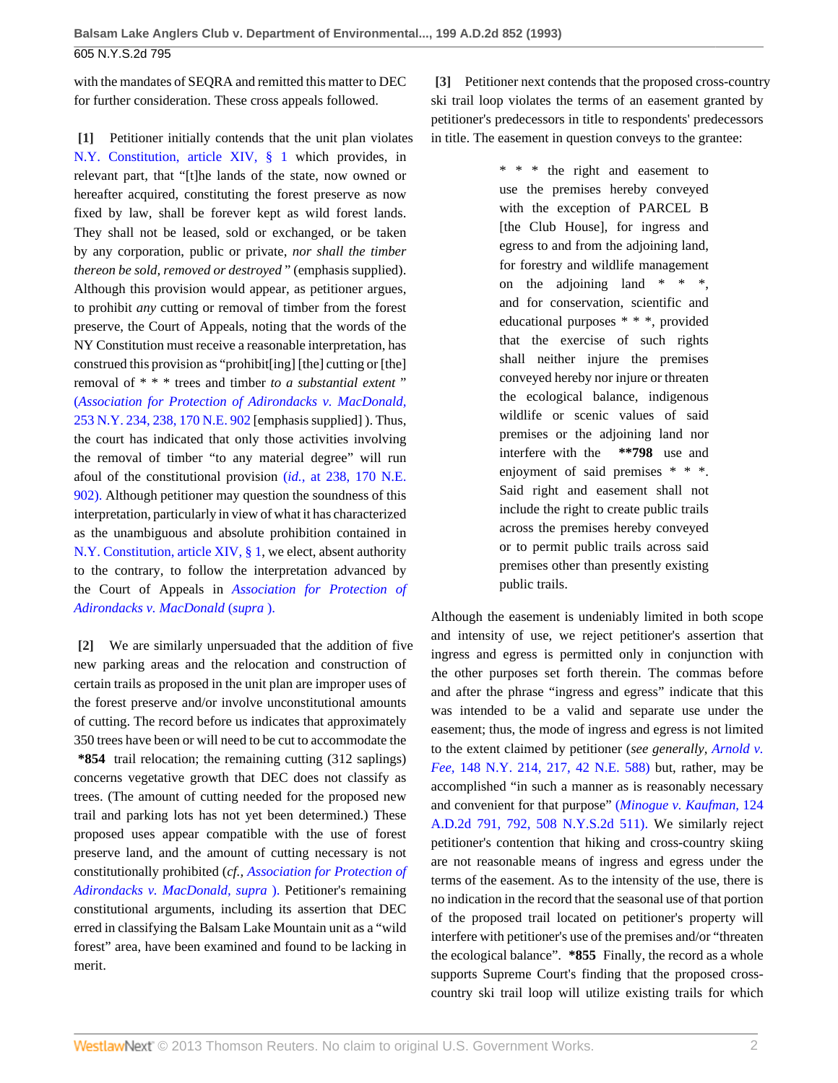with the mandates of SEQRA and remitted this matter to DEC for further consideration. These cross appeals followed.

**[1]** Petitioner initially contends that the unit plan violates [N.Y. Constitution, article XIV, § 1](http://www.westlaw.com/Link/Document/FullText?findType=L&pubNum=1000300&cite=NYCNART14S1&originatingDoc=Ic238b2b4da1e11d9bf60c1d57ebc853e&refType=LQ&originationContext=document&vr=3.0&rs=cblt1.0&transitionType=DocumentItem&contextData=(sc.Search)) which provides, in relevant part, that "[t]he lands of the state, now owned or hereafter acquired, constituting the forest preserve as now fixed by law, shall be forever kept as wild forest lands. They shall not be leased, sold or exchanged, or be taken by any corporation, public or private, *nor shall the timber thereon be sold, removed or destroyed* " (emphasis supplied). Although this provision would appear, as petitioner argues, to prohibit *any* cutting or removal of timber from the forest preserve, the Court of Appeals, noting that the words of the NY Constitution must receive a reasonable interpretation, has construed this provision as "prohibit[ing] [the] cutting or [the] removal of \* \* \* trees and timber *to a substantial extent* " (*[Association for Protection of Adirondacks v. MacDonald,](http://www.westlaw.com/Link/Document/FullText?findType=Y&serNum=1930100913&pubNum=577&originationContext=document&vr=3.0&rs=cblt1.0&transitionType=DocumentItem&contextData=(sc.Search))* [253 N.Y. 234, 238, 170 N.E. 902](http://www.westlaw.com/Link/Document/FullText?findType=Y&serNum=1930100913&pubNum=577&originationContext=document&vr=3.0&rs=cblt1.0&transitionType=DocumentItem&contextData=(sc.Search)) [emphasis supplied] ). Thus, the court has indicated that only those activities involving the removal of timber "to any material degree" will run afoul of the constitutional provision (*id.,* [at 238, 170 N.E.](http://www.westlaw.com/Link/Document/FullText?findType=Y&serNum=1930100913&pubNum=577&originationContext=document&vr=3.0&rs=cblt1.0&transitionType=DocumentItem&contextData=(sc.Search)) [902\).](http://www.westlaw.com/Link/Document/FullText?findType=Y&serNum=1930100913&pubNum=577&originationContext=document&vr=3.0&rs=cblt1.0&transitionType=DocumentItem&contextData=(sc.Search)) Although petitioner may question the soundness of this interpretation, particularly in view of what it has characterized as the unambiguous and absolute prohibition contained in [N.Y. Constitution, article XIV, § 1](http://www.westlaw.com/Link/Document/FullText?findType=L&pubNum=1000300&cite=NYCNART14S1&originatingDoc=Ic238b2b4da1e11d9bf60c1d57ebc853e&refType=LQ&originationContext=document&vr=3.0&rs=cblt1.0&transitionType=DocumentItem&contextData=(sc.Search)), we elect, absent authority to the contrary, to follow the interpretation advanced by the Court of Appeals in *[Association for Protection of](http://www.westlaw.com/Link/Document/FullText?findType=Y&serNum=1930100913&originationContext=document&vr=3.0&rs=cblt1.0&transitionType=DocumentItem&contextData=(sc.Search)) [Adirondacks v. MacDonald](http://www.westlaw.com/Link/Document/FullText?findType=Y&serNum=1930100913&originationContext=document&vr=3.0&rs=cblt1.0&transitionType=DocumentItem&contextData=(sc.Search))* (*supra* ).

**[2]** We are similarly unpersuaded that the addition of five new parking areas and the relocation and construction of certain trails as proposed in the unit plan are improper uses of the forest preserve and/or involve unconstitutional amounts of cutting. The record before us indicates that approximately 350 trees have been or will need to be cut to accommodate the **\*854** trail relocation; the remaining cutting (312 saplings) concerns vegetative growth that DEC does not classify as trees. (The amount of cutting needed for the proposed new trail and parking lots has not yet been determined.) These proposed uses appear compatible with the use of forest preserve land, and the amount of cutting necessary is not constitutionally prohibited (*cf., [Association for Protection of](http://www.westlaw.com/Link/Document/FullText?findType=Y&serNum=1930100913&originationContext=document&vr=3.0&rs=cblt1.0&transitionType=DocumentItem&contextData=(sc.Search)) [Adirondacks v. MacDonald, supra](http://www.westlaw.com/Link/Document/FullText?findType=Y&serNum=1930100913&originationContext=document&vr=3.0&rs=cblt1.0&transitionType=DocumentItem&contextData=(sc.Search))* ). Petitioner's remaining constitutional arguments, including its assertion that DEC erred in classifying the Balsam Lake Mountain unit as a "wild forest" area, have been examined and found to be lacking in merit.

**[3]** Petitioner next contends that the proposed cross-country ski trail loop violates the terms of an easement granted by petitioner's predecessors in title to respondents' predecessors in title. The easement in question conveys to the grantee:

> \* \* \* the right and easement to use the premises hereby conveyed with the exception of PARCEL B [the Club House], for ingress and egress to and from the adjoining land, for forestry and wildlife management on the adjoining land  $* * *$ , and for conservation, scientific and educational purposes \* \* \*, provided that the exercise of such rights shall neither injure the premises conveyed hereby nor injure or threaten the ecological balance, indigenous wildlife or scenic values of said premises or the adjoining land nor interfere with the **\*\*798** use and enjoyment of said premises \* \* \*. Said right and easement shall not include the right to create public trails across the premises hereby conveyed or to permit public trails across said premises other than presently existing public trails.

Although the easement is undeniably limited in both scope and intensity of use, we reject petitioner's assertion that ingress and egress is permitted only in conjunction with the other purposes set forth therein. The commas before and after the phrase "ingress and egress" indicate that this was intended to be a valid and separate use under the easement; thus, the mode of ingress and egress is not limited to the extent claimed by petitioner (*see generally, [Arnold v.](http://www.westlaw.com/Link/Document/FullText?findType=Y&serNum=1896002865&pubNum=577&originationContext=document&vr=3.0&rs=cblt1.0&transitionType=DocumentItem&contextData=(sc.Search)) Fee,* [148 N.Y. 214, 217, 42 N.E. 588\)](http://www.westlaw.com/Link/Document/FullText?findType=Y&serNum=1896002865&pubNum=577&originationContext=document&vr=3.0&rs=cblt1.0&transitionType=DocumentItem&contextData=(sc.Search)) but, rather, may be accomplished "in such a manner as is reasonably necessary and convenient for that purpose" (*[Minogue v. Kaufman,](http://www.westlaw.com/Link/Document/FullText?findType=Y&serNum=1986159711&pubNum=602&originationContext=document&vr=3.0&rs=cblt1.0&transitionType=DocumentItem&contextData=(sc.Search))* 124 [A.D.2d 791, 792, 508 N.Y.S.2d 511\).](http://www.westlaw.com/Link/Document/FullText?findType=Y&serNum=1986159711&pubNum=602&originationContext=document&vr=3.0&rs=cblt1.0&transitionType=DocumentItem&contextData=(sc.Search)) We similarly reject petitioner's contention that hiking and cross-country skiing are not reasonable means of ingress and egress under the terms of the easement. As to the intensity of the use, there is no indication in the record that the seasonal use of that portion of the proposed trail located on petitioner's property will interfere with petitioner's use of the premises and/or "threaten the ecological balance". **\*855** Finally, the record as a whole supports Supreme Court's finding that the proposed crosscountry ski trail loop will utilize existing trails for which